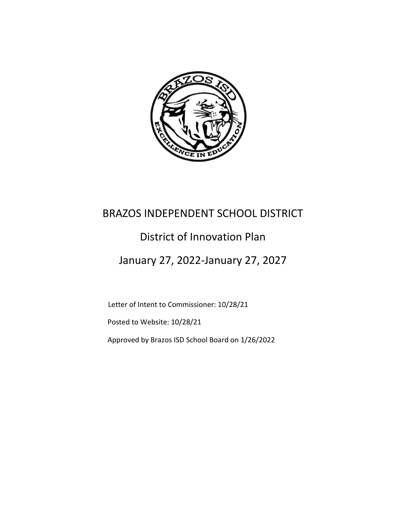

# BRAZOS INDEPENDENT SCHOOL DISTRICT

# District of Innovation Plan

# January 27, 2022-January 27, 2027

Letter of Intent to Commissioner: 10/28/21

Posted to Website: 10/28/21

Approved by Brazos ISD School Board on 1/26/2022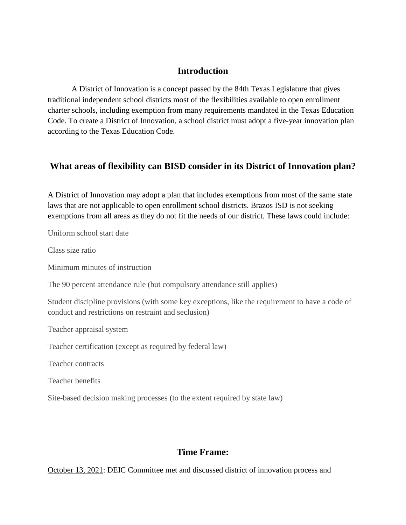### **Introduction**

A District of Innovation is a concept passed by the 84th Texas Legislature that gives traditional independent school districts most of the flexibilities available to open enrollment charter schools, including exemption from many requirements mandated in the Texas Education Code. To create a District of Innovation, a school district must adopt a five-year innovation plan according to the Texas Education Code.

# **What areas of flexibility can BISD consider in its District of Innovation plan?**

A District of Innovation may adopt a plan that includes exemptions from most of the same state laws that are not applicable to open enrollment school districts. Brazos ISD is not seeking exemptions from all areas as they do not fit the needs of our district. These laws could include:

Uniform school start date

Class size ratio

Minimum minutes of instruction

The 90 percent attendance rule (but compulsory attendance still applies)

Student discipline provisions (with some key exceptions, like the requirement to have a code of conduct and restrictions on restraint and seclusion)

Teacher appraisal system

Teacher certification (except as required by federal law)

Teacher contracts

Teacher benefits

Site-based decision making processes (to the extent required by state law)

# **Time Frame:**

October 13, 2021: DEIC Committee met and discussed district of innovation process and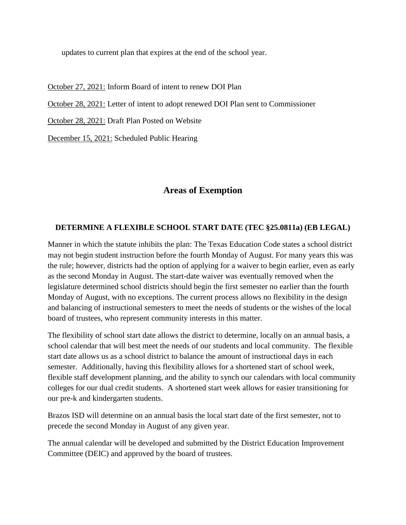updates to current plan that expires at the end of the school year.

October 27, 2021: Inform Board of intent to renew DOI Plan

October 28, 2021: Letter of intent to adopt renewed DOI Plan sent to Commissioner

October 28, 2021: Draft Plan Posted on Website

December 15, 2021: Scheduled Public Hearing

## **Areas of Exemption**

#### **DETERMINE A FLEXIBLE SCHOOL START DATE (TEC §25.0811a) (EB LEGAL)**

Manner in which the statute inhibits the plan: The Texas Education Code states a school district may not begin student instruction before the fourth Monday of August. For many years this was the rule; however, districts had the option of applying for a waiver to begin earlier, even as early as the second Monday in August. The start-date waiver was eventually removed when the legislature determined school districts should begin the first semester no earlier than the fourth Monday of August, with no exceptions. The current process allows no flexibility in the design and balancing of instructional semesters to meet the needs of students or the wishes of the local board of trustees, who represent community interests in this matter.

The flexibility of school start date allows the district to determine, locally on an annual basis, a school calendar that will best meet the needs of our students and local community. The flexible start date allows us as a school district to balance the amount of instructional days in each semester. Additionally, having this flexibility allows for a shortened start of school week, flexible staff development planning, and the ability to synch our calendars with local community colleges for our dual credit students. A shortened start week allows for easier transitioning for our pre-k and kindergarten students.

Brazos ISD will determine on an annual basis the local start date of the first semester, not to precede the second Monday in August of any given year.

The annual calendar will be developed and submitted by the District Education Improvement Committee (DEIC) and approved by the board of trustees.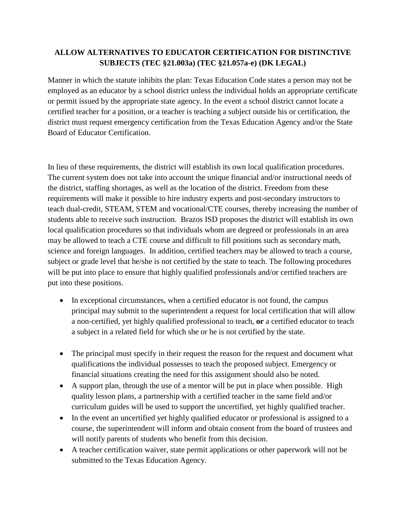## **ALLOW ALTERNATIVES TO EDUCATOR CERTIFICATION FOR DISTINCTIVE SUBJECTS (TEC §21.003a) (TEC §21.057a-e) (DK LEGAL)**

Manner in which the statute inhibits the plan: Texas Education Code states a person may not be employed as an educator by a school district unless the individual holds an appropriate certificate or permit issued by the appropriate state agency. In the event a school district cannot locate a certified teacher for a position, or a teacher is teaching a subject outside his or certification, the district must request emergency certification from the Texas Education Agency and/or the State Board of Educator Certification.

In lieu of these requirements, the district will establish its own local qualification procedures. The current system does not take into account the unique financial and/or instructional needs of the district, staffing shortages, as well as the location of the district. Freedom from these requirements will make it possible to hire industry experts and post-secondary instructors to teach dual-credit, STEAM, STEM and vocational/CTE courses, thereby increasing the number of students able to receive such instruction. Brazos ISD proposes the district will establish its own local qualification procedures so that individuals whom are degreed or professionals in an area may be allowed to teach a CTE course and difficult to fill positions such as secondary math, science and foreign languages. In addition, certified teachers may be allowed to teach a course, subject or grade level that he/she is not certified by the state to teach. The following procedures will be put into place to ensure that highly qualified professionals and/or certified teachers are put into these positions.

- In exceptional circumstances, when a certified educator is not found, the campus principal may submit to the superintendent a request for local certification that will allow a non-certified, yet highly qualified professional to teach, **or** a certified educator to teach a subject in a related field for which she or he is not certified by the state.
- The principal must specify in their request the reason for the request and document what qualifications the individual possesses to teach the proposed subject. Emergency or financial situations creating the need for this assignment should also be noted.
- A support plan, through the use of a mentor will be put in place when possible. High quality lesson plans, a partnership with a certified teacher in the same field and/or curriculum guides will be used to support the uncertified, yet highly qualified teacher.
- In the event an uncertified yet highly qualified educator or professional is assigned to a course, the superintendent will inform and obtain consent from the board of trustees and will notify parents of students who benefit from this decision.
- A teacher certification waiver, state permit applications or other paperwork will not be submitted to the Texas Education Agency.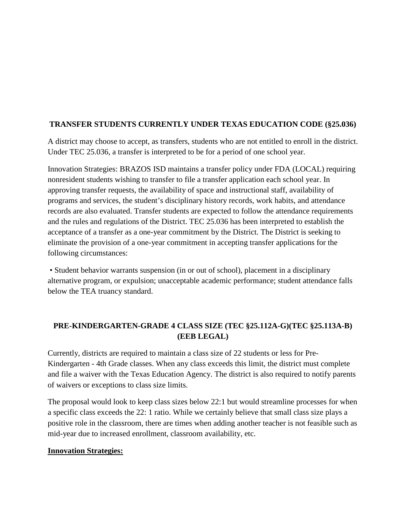### **TRANSFER STUDENTS CURRENTLY UNDER TEXAS EDUCATION CODE (§25.036)**

A district may choose to accept, as transfers, students who are not entitled to enroll in the district. Under TEC 25.036, a transfer is interpreted to be for a period of one school year.

Innovation Strategies: BRAZOS ISD maintains a transfer policy under FDA (LOCAL) requiring nonresident students wishing to transfer to file a transfer application each school year. In approving transfer requests, the availability of space and instructional staff, availability of programs and services, the student's disciplinary history records, work habits, and attendance records are also evaluated. Transfer students are expected to follow the attendance requirements and the rules and regulations of the District. TEC 25.036 has been interpreted to establish the acceptance of a transfer as a one-year commitment by the District. The District is seeking to eliminate the provision of a one-year commitment in accepting transfer applications for the following circumstances:

• Student behavior warrants suspension (in or out of school), placement in a disciplinary alternative program, or expulsion; unacceptable academic performance; student attendance falls below the TEA truancy standard.

# **PRE-KINDERGARTEN-GRADE 4 CLASS SIZE (TEC §25.112A-G)(TEC §25.113A-B) (EEB LEGAL)**

Currently, districts are required to maintain a class size of 22 students or less for Pre-Kindergarten - 4th Grade classes. When any class exceeds this limit, the district must complete and file a waiver with the Texas Education Agency. The district is also required to notify parents of waivers or exceptions to class size limits.

The proposal would look to keep class sizes below 22:1 but would streamline processes for when a specific class exceeds the 22: 1 ratio. While we certainly believe that small class size plays a positive role in the classroom, there are times when adding another teacher is not feasible such as mid-year due to increased enrollment, classroom availability, etc.

#### **Innovation Strategies:**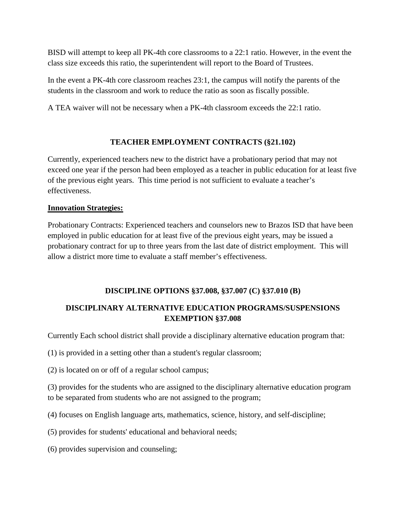BISD will attempt to keep all PK-4th core classrooms to a 22:1 ratio. However, in the event the class size exceeds this ratio, the superintendent will report to the Board of Trustees.

In the event a PK-4th core classroom reaches 23:1, the campus will notify the parents of the students in the classroom and work to reduce the ratio as soon as fiscally possible.

A TEA waiver will not be necessary when a PK-4th classroom exceeds the 22:1 ratio.

## **TEACHER EMPLOYMENT CONTRACTS (§21.102)**

Currently, experienced teachers new to the district have a probationary period that may not exceed one year if the person had been employed as a teacher in public education for at least five of the previous eight years. This time period is not sufficient to evaluate a teacher's effectiveness.

#### **Innovation Strategies:**

Probationary Contracts: Experienced teachers and counselors new to Brazos ISD that have been employed in public education for at least five of the previous eight years, may be issued a probationary contract for up to three years from the last date of district employment. This will allow a district more time to evaluate a staff member's effectiveness.

#### **DISCIPLINE OPTIONS §37.008, §37.007 (C) §37.010 (B)**

# **DISCIPLINARY ALTERNATIVE EDUCATION PROGRAMS/SUSPENSIONS EXEMPTION §37.008**

Currently Each school district shall provide a disciplinary alternative education program that:

(1) is provided in a setting other than a student's regular classroom;

(2) is located on or off of a regular school campus;

(3) provides for the students who are assigned to the disciplinary alternative education program to be separated from students who are not assigned to the program;

(4) focuses on English language arts, mathematics, science, history, and self-discipline;

(5) provides for students' educational and behavioral needs;

(6) provides supervision and counseling;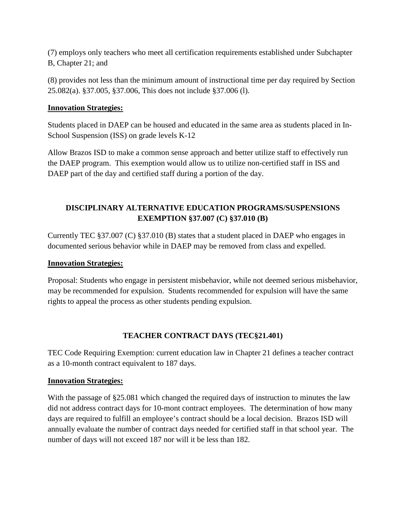(7) employs only teachers who meet all certification requirements established under Subchapter B, Chapter 21; and

(8) provides not less than the minimum amount of instructional time per day required by Section 25.082(a). §37.005, §37.006, This does not include §37.006 (l).

#### **Innovation Strategies:**

Students placed in DAEP can be housed and educated in the same area as students placed in In-School Suspension (ISS) on grade levels K-12

Allow Brazos ISD to make a common sense approach and better utilize staff to effectively run the DAEP program. This exemption would allow us to utilize non-certified staff in ISS and DAEP part of the day and certified staff during a portion of the day.

# **DISCIPLINARY ALTERNATIVE EDUCATION PROGRAMS/SUSPENSIONS EXEMPTION §37.007 (C) §37.010 (B)**

Currently TEC §37.007 (C) §37.010 (B) states that a student placed in DAEP who engages in documented serious behavior while in DAEP may be removed from class and expelled.

#### **Innovation Strategies:**

Proposal: Students who engage in persistent misbehavior, while not deemed serious misbehavior, may be recommended for expulsion. Students recommended for expulsion will have the same rights to appeal the process as other students pending expulsion.

## **TEACHER CONTRACT DAYS (TEC§21.401)**

TEC Code Requiring Exemption: current education law in Chapter 21 defines a teacher contract as a 10-month contract equivalent to 187 days.

#### **Innovation Strategies:**

With the passage of §25.081 which changed the required days of instruction to minutes the law did not address contract days for 10-mont contract employees. The determination of how many days are required to fulfill an employee's contract should be a local decision. Brazos ISD will annually evaluate the number of contract days needed for certified staff in that school year. The number of days will not exceed 187 nor will it be less than 182.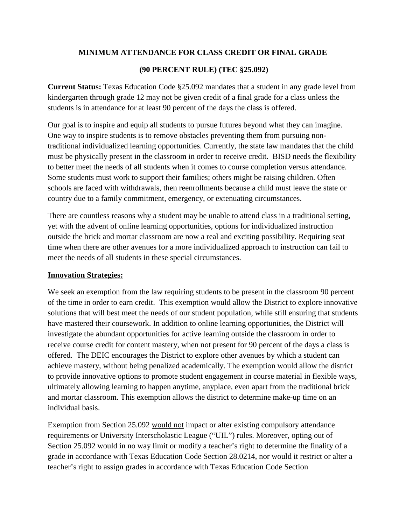#### **MINIMUM ATTENDANCE FOR CLASS CREDIT OR FINAL GRADE**

#### **(90 PERCENT RULE) (TEC §25.092)**

**Current Status:** Texas Education Code §25.092 mandates that a student in any grade level from kindergarten through grade 12 may not be given credit of a final grade for a class unless the students is in attendance for at least 90 percent of the days the class is offered.

Our goal is to inspire and equip all students to pursue futures beyond what they can imagine. One way to inspire students is to remove obstacles preventing them from pursuing nontraditional individualized learning opportunities. Currently, the state law mandates that the child must be physically present in the classroom in order to receive credit. BISD needs the flexibility to better meet the needs of all students when it comes to course completion versus attendance. Some students must work to support their families; others might be raising children. Often schools are faced with withdrawals, then reenrollments because a child must leave the state or country due to a family commitment, emergency, or extenuating circumstances.

There are countless reasons why a student may be unable to attend class in a traditional setting, yet with the advent of online learning opportunities, options for individualized instruction outside the brick and mortar classroom are now a real and exciting possibility. Requiring seat time when there are other avenues for a more individualized approach to instruction can fail to meet the needs of all students in these special circumstances.

#### **Innovation Strategies:**

We seek an exemption from the law requiring students to be present in the classroom 90 percent of the time in order to earn credit. This exemption would allow the District to explore innovative solutions that will best meet the needs of our student population, while still ensuring that students have mastered their coursework. In addition to online learning opportunities, the District will investigate the abundant opportunities for active learning outside the classroom in order to receive course credit for content mastery, when not present for 90 percent of the days a class is offered. The DEIC encourages the District to explore other avenues by which a student can achieve mastery, without being penalized academically. The exemption would allow the district to provide innovative options to promote student engagement in course material in flexible ways, ultimately allowing learning to happen anytime, anyplace, even apart from the traditional brick and mortar classroom. This exemption allows the district to determine make-up time on an individual basis.

Exemption from Section 25.092 would not impact or alter existing compulsory attendance requirements or University Interscholastic League ("UIL") rules. Moreover, opting out of Section 25.092 would in no way limit or modify a teacher's right to determine the finality of a grade in accordance with Texas Education Code Section 28.0214, nor would it restrict or alter a teacher's right to assign grades in accordance with Texas Education Code Section